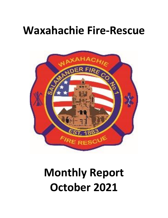## **Waxahachie Fire-Rescue**



# **Monthly Report October 2021**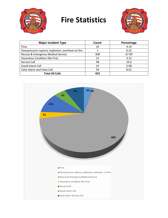

## **Fire Statistics**



| <b>Major Incident Type</b>                        | Count | Percentage |
|---------------------------------------------------|-------|------------|
| <b>Fires</b>                                      | 19    | 4.19       |
| Overpressure rupture, explosion, overheat-no fire |       | 0.22       |
| Rescue & Emergency Medical Service                | 308   | 67.99      |
| Hazardous Condition (No Fire)                     | 15    | 3.31       |
| Service Call                                      | 48    | 10.6       |
| Good Intent Call                                  | 23    | 5.08       |
| <b>False Alarm and False Call</b>                 | 39    | 8.61       |
| <b>Total All Calls</b>                            | 453   |            |

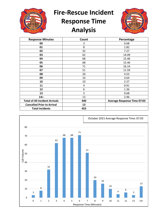

**Fire-Rescue Incident** 

### **Response Time Analysis**



| <b>Response Minutes</b>               | Count | Percentage                         |
|---------------------------------------|-------|------------------------------------|
| 00                                    | 3     | 0.68                               |
| 01                                    | 8     | 1.82                               |
| 02                                    | 32    | 7.27                               |
| 03                                    | 62    | 14.09                              |
| 04                                    | 68    | 15.46                              |
| 05                                    | 68    | 15.46                              |
| 06                                    | 71    | 16.14                              |
| 07                                    | 51    | 11.59                              |
| 08                                    | 20    | 4.55                               |
| 09                                    | 16    | 3.64                               |
| 10                                    | 10    | 2.27                               |
| 11                                    | 4     | 0.91                               |
| 12                                    | 6     | 1.36                               |
| 13                                    | 3     | 0.68                               |
| $14+$                                 | 13    | 2.96                               |
| <b>Total of All Incident Arrivals</b> | 440   | <b>Average Response Time 07:03</b> |
| <b>Cancelled Prior to Arrival</b>     | 13    |                                    |
| <b>Total Incidents</b>                | 453   |                                    |

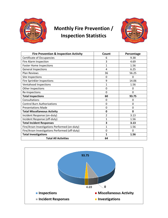

#### **Monthly Fire Prevention / Inspection Statistics**



| <b>Fire Prevention &amp; Inspection Activity</b> | Count          | Percentage  |
|--------------------------------------------------|----------------|-------------|
| Certificate of Occupancies                       | 6              | 9.38        |
| Fire Alarm Inspection                            | 3              | 4.69        |
| <b>Foster Home Inspections</b>                   | 1              | 1.56        |
| <b>General Inspections</b>                       | $\overline{4}$ | 6.25        |
| <b>Plan Reviews</b>                              | 36             | 56.25       |
| Site Inspections                                 | 0              | 0           |
| <b>Fire Sprinkler Inspections</b>                | 9              | 14.06       |
| Ventahood Inspections                            | $\mathbf{1}$   | 1.56        |
| Other Inspections                                | $\mathbf 0$    | 0           |
| Re-Inspections                                   | $\Omega$       | 0           |
| <b>Total Inspections</b>                         | 60             | 93.75       |
| Consultations                                    | 0              | $\mathbf 0$ |
| <b>Control Burn Authorizations</b>               | 0              | 0           |
| <b>Presentations Made</b>                        | $\mathbf 0$    | 0           |
| <b>Total Miscellaneous Activity</b>              | 0              | 0           |
| Incident Response (on-duty)                      | 2              | 3.13        |
| Incident Response (off-duty)                     | $\mathbf{1}$   | 1.56        |
| <b>Total Incident Responses</b>                  | 3              | 3.13        |
| Fire/Arson Investigations Performed (on-duty)    | 1              | 1.56        |
| Fire/Arson Investigations Performed (off-duty)   | $\Omega$       | $\Omega$    |
| <b>Total Investigations</b>                      | $\mathbf{1}$   | 1.56        |
| <b>Total All Activities</b>                      | 64             |             |